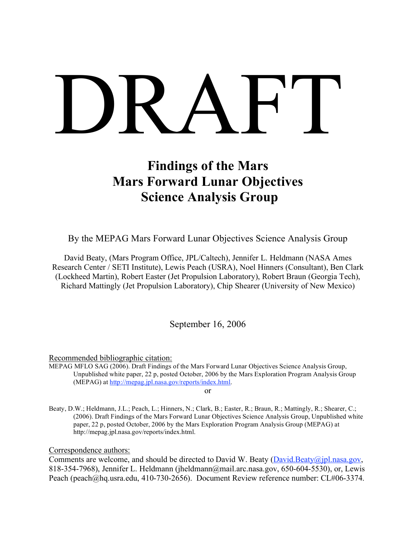# DRAFT

# **Findings of the Mars Mars Forward Lunar Objectives Science Analysis Group**

By the MEPAG Mars Forward Lunar Objectives Science Analysis Group

David Beaty, (Mars Program Office, JPL/Caltech), Jennifer L. Heldmann (NASA Ames Research Center / SETI Institute), Lewis Peach (USRA), Noel Hinners (Consultant), Ben Clark (Lockheed Martin), Robert Easter (Jet Propulsion Laboratory), Robert Braun (Georgia Tech), Richard Mattingly (Jet Propulsion Laboratory), Chip Shearer (University of New Mexico)

September 16, 2006

Recommended bibliographic citation:

MEPAG MFLO SAG (2006). Draft Findings of the Mars Forward Lunar Objectives Science Analysis Group, Unpublished white paper, 22 p, posted October, 2006 by the Mars Exploration Program Analysis Group (MEPAG) at http://mepag.jpl.nasa.gov/reports/index.html.

or

Beaty, D.W.; Heldmann, J.L.; Peach, L.; Hinners, N.; Clark, B.; Easter, R.; Braun, R.; Mattingly, R.; Shearer, C.; (2006). Draft Findings of the Mars Forward Lunar Objectives Science Analysis Group, Unpublished white paper, 22 p, posted October, 2006 by the Mars Exploration Program Analysis Group (MEPAG) at http://mepag.jpl.nasa.gov/reports/index.html.

Correspondence authors:

Comments are welcome, and should be directed to David W. Beaty  $(David.Beaty@jpl.nasa.gov,$ 818-354-7968), Jennifer L. Heldmann (jheldmann@mail.arc.nasa.gov, 650-604-5530), or, Lewis Peach (peach@hq.usra.edu, 410-730-2656). Document Review reference number: CL#06-3374.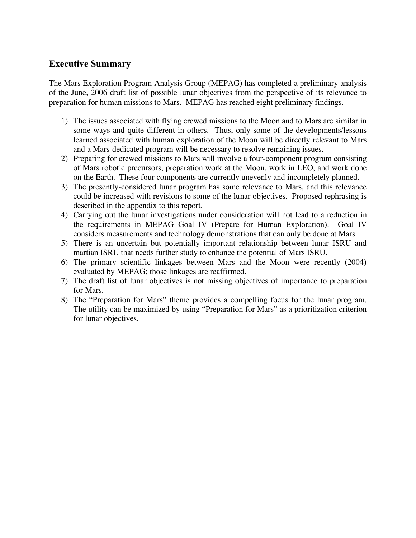# **Executive Summary**

The Mars Exploration Program Analysis Group (MEPAG) has completed a preliminary analysis of the June, 2006 draft list of possible lunar objectives from the perspective of its relevance to preparation for human missions to Mars. MEPAG has reached eight preliminary findings.

- 1) The issues associated with flying crewed missions to the Moon and to Mars are similar in some ways and quite different in others. Thus, only some of the developments/lessons learned associated with human exploration of the Moon will be directly relevant to Mars and a Mars-dedicated program will be necessary to resolve remaining issues.
- 2) Preparing for crewed missions to Mars will involve a four-component program consisting of Mars robotic precursors, preparation work at the Moon, work in LEO, and work done on the Earth. These four components are currently unevenly and incompletely planned.
- 3) The presently-considered lunar program has some relevance to Mars, and this relevance could be increased with revisions to some of the lunar objectives. Proposed rephrasing is described in the appendix to this report.
- 4) Carrying out the lunar investigations under consideration will not lead to a reduction in the requirements in MEPAG Goal IV (Prepare for Human Exploration). Goal IV considers measurements and technology demonstrations that can only be done at Mars.
- 5) There is an uncertain but potentially important relationship between lunar ISRU and martian ISRU that needs further study to enhance the potential of Mars ISRU.
- 6) The primary scientific linkages between Mars and the Moon were recently (2004) evaluated by MEPAG; those linkages are reaffirmed.
- 7) The draft list of lunar objectives is not missing objectives of importance to preparation for Mars.
- 8) The "Preparation for Mars" theme provides a compelling focus for the lunar program. The utility can be maximized by using "Preparation for Mars" as a prioritization criterion for lunar objectives.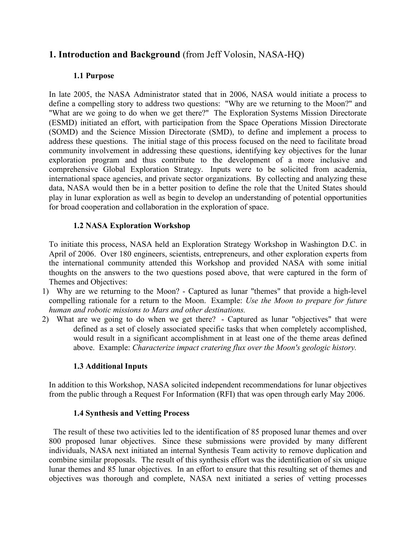# **1. Introduction and Background** (from Jeff Volosin, NASA-HQ)

# **1.1 Purpose**

In late 2005, the NASA Administrator stated that in 2006, NASA would initiate a process to define a compelling story to address two questions: "Why are we returning to the Moon?" and "What are we going to do when we get there?" The Exploration Systems Mission Directorate (ESMD) initiated an effort, with participation from the Space Operations Mission Directorate (SOMD) and the Science Mission Directorate (SMD), to define and implement a process to address these questions. The initial stage of this process focused on the need to facilitate broad community involvement in addressing these questions, identifying key objectives for the lunar exploration program and thus contribute to the development of a more inclusive and comprehensive Global Exploration Strategy. Inputs were to be solicited from academia, international space agencies, and private sector organizations. By collecting and analyzing these data, NASA would then be in a better position to define the role that the United States should play in lunar exploration as well as begin to develop an understanding of potential opportunities for broad cooperation and collaboration in the exploration of space.

# **1.2 NASA Exploration Workshop**

To initiate this process, NASA held an Exploration Strategy Workshop in Washington D.C. in April of 2006. Over 180 engineers, scientists, entrepreneurs, and other exploration experts from the international community attended this Workshop and provided NASA with some initial thoughts on the answers to the two questions posed above, that were captured in the form of Themes and Objectives:

- 1) Why are we returning to the Moon? Captured as lunar "themes" that provide a high-level compelling rationale for a return to the Moon. Example: *Use the Moon to prepare for future human and robotic missions to Mars and other destinations.*
- 2) What are we going to do when we get there? Captured as lunar "objectives" that were defined as a set of closely associated specific tasks that when completely accomplished, would result in a significant accomplishment in at least one of the theme areas defined above. Example: *Characterize impact cratering flux over the Moon's geologic history.*

# **1.3 Additional Inputs**

In addition to this Workshop, NASA solicited independent recommendations for lunar objectives from the public through a Request For Information (RFI) that was open through early May 2006.

# **1.4 Synthesis and Vetting Process**

The result of these two activities led to the identification of 85 proposed lunar themes and over 800 proposed lunar objectives. Since these submissions were provided by many different individuals, NASA next initiated an internal Synthesis Team activity to remove duplication and combine similar proposals. The result of this synthesis effort was the identification of six unique lunar themes and 85 lunar objectives. In an effort to ensure that this resulting set of themes and objectives was thorough and complete, NASA next initiated a series of vetting processes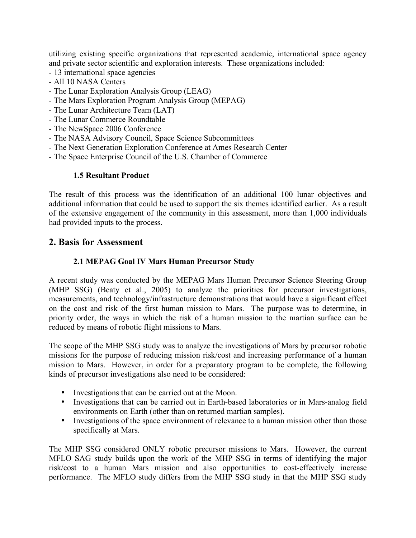utilizing existing specific organizations that represented academic, international space agency and private sector scientific and exploration interests. These organizations included:

- 13 international space agencies
- All 10 NASA Centers
- The Lunar Exploration Analysis Group (LEAG)
- The Mars Exploration Program Analysis Group (MEPAG)
- The Lunar Architecture Team (LAT)
- The Lunar Commerce Roundtable
- The NewSpace 2006 Conference
- The NASA Advisory Council, Space Science Subcommittees
- The Next Generation Exploration Conference at Ames Research Center
- The Space Enterprise Council of the U.S. Chamber of Commerce

#### **1.5 Resultant Product**

The result of this process was the identification of an additional 100 lunar objectives and additional information that could be used to support the six themes identified earlier. As a result of the extensive engagement of the community in this assessment, more than 1,000 individuals had provided inputs to the process.

# **2. Basis for Assessment**

#### **2.1 MEPAG Goal IV Mars Human Precursor Study**

A recent study was conducted by the MEPAG Mars Human Precursor Science Steering Group (MHP SSG) (Beaty et al., 2005) to analyze the priorities for precursor investigations, measurements, and technology/infrastructure demonstrations that would have a significant effect on the cost and risk of the first human mission to Mars. The purpose was to determine, in priority order, the ways in which the risk of a human mission to the martian surface can be reduced by means of robotic flight missions to Mars.

The scope of the MHP SSG study was to analyze the investigations of Mars by precursor robotic missions for the purpose of reducing mission risk/cost and increasing performance of a human mission to Mars. However, in order for a preparatory program to be complete, the following kinds of precursor investigations also need to be considered:

- Investigations that can be carried out at the Moon.
- Investigations that can be carried out in Earth-based laboratories or in Mars-analog field environments on Earth (other than on returned martian samples).
- Investigations of the space environment of relevance to a human mission other than those specifically at Mars.

The MHP SSG considered ONLY robotic precursor missions to Mars. However, the current MFLO SAG study builds upon the work of the MHP SSG in terms of identifying the major risk/cost to a human Mars mission and also opportunities to cost-effectively increase performance. The MFLO study differs from the MHP SSG study in that the MHP SSG study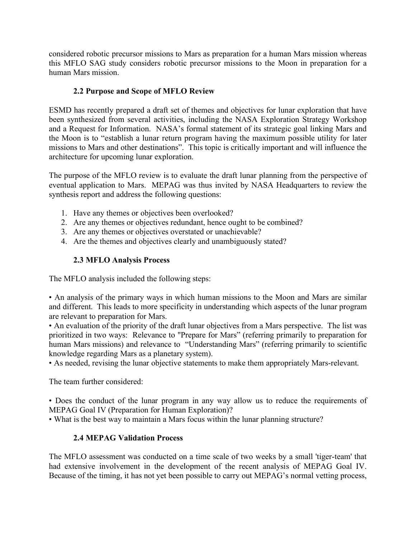considered robotic precursor missions to Mars as preparation for a human Mars mission whereas this MFLO SAG study considers robotic precursor missions to the Moon in preparation for a human Mars mission.

# **2.2 Purpose and Scope of MFLO Review**

ESMD has recently prepared a draft set of themes and objectives for lunar exploration that have been synthesized from several activities, including the NASA Exploration Strategy Workshop and a Request for Information. NASA's formal statement of its strategic goal linking Mars and the Moon is to "establish a lunar return program having the maximum possible utility for later missions to Mars and other destinations". This topic is critically important and will influence the architecture for upcoming lunar exploration.

The purpose of the MFLO review is to evaluate the draft lunar planning from the perspective of eventual application to Mars. MEPAG was thus invited by NASA Headquarters to review the synthesis report and address the following questions:

- 1. Have any themes or objectives been overlooked?
- 2. Are any themes or objectives redundant, hence ought to be combined?
- 3. Are any themes or objectives overstated or unachievable?
- 4. Are the themes and objectives clearly and unambiguously stated?

# **2.3 MFLO Analysis Process**

The MFLO analysis included the following steps:

• An analysis of the primary ways in which human missions to the Moon and Mars are similar and different. This leads to more specificity in understanding which aspects of the lunar program are relevant to preparation for Mars.

• An evaluation of the priority of the draft lunar objectives from a Mars perspective. The list was prioritized in two ways: Relevance to "Prepare for Mars" (referring primarily to preparation for human Mars missions) and relevance to "Understanding Mars" (referring primarily to scientific knowledge regarding Mars as a planetary system).

• As needed, revising the lunar objective statements to make them appropriately Mars-relevant.

The team further considered:

• Does the conduct of the lunar program in any way allow us to reduce the requirements of MEPAG Goal IV (Preparation for Human Exploration)?

• What is the best way to maintain a Mars focus within the lunar planning structure?

# **2.4 MEPAG Validation Process**

The MFLO assessment was conducted on a time scale of two weeks by a small 'tiger-team' that had extensive involvement in the development of the recent analysis of MEPAG Goal IV. Because of the timing, it has not yet been possible to carry out MEPAG's normal vetting process,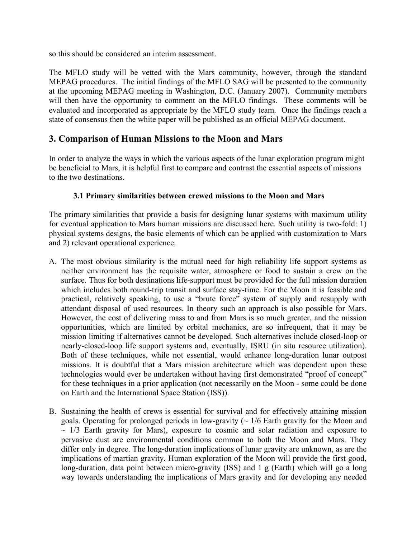so this should be considered an interim assessment.

The MFLO study will be vetted with the Mars community, however, through the standard MEPAG procedures. The initial findings of the MFLO SAG will be presented to the community at the upcoming MEPAG meeting in Washington, D.C. (January 2007). Community members will then have the opportunity to comment on the MFLO findings. These comments will be evaluated and incorporated as appropriate by the MFLO study team. Once the findings reach a state of consensus then the white paper will be published as an official MEPAG document.

# **3. Comparison of Human Missions to the Moon and Mars**

In order to analyze the ways in which the various aspects of the lunar exploration program might be beneficial to Mars, it is helpful first to compare and contrast the essential aspects of missions to the two destinations.

# **3.1 Primary similarities between crewed missions to the Moon and Mars**

The primary similarities that provide a basis for designing lunar systems with maximum utility for eventual application to Mars human missions are discussed here. Such utility is two-fold: 1) physical systems designs, the basic elements of which can be applied with customization to Mars and 2) relevant operational experience.

- A. The most obvious similarity is the mutual need for high reliability life support systems as neither environment has the requisite water, atmosphere or food to sustain a crew on the surface. Thus for both destinations life-support must be provided for the full mission duration which includes both round-trip transit and surface stay-time. For the Moon it is feasible and practical, relatively speaking, to use a "brute force" system of supply and resupply with attendant disposal of used resources. In theory such an approach is also possible for Mars. However, the cost of delivering mass to and from Mars is so much greater, and the mission opportunities, which are limited by orbital mechanics, are so infrequent, that it may be mission limiting if alternatives cannot be developed. Such alternatives include closed-loop or nearly-closed-loop life support systems and, eventually, ISRU (in situ resource utilization). Both of these techniques, while not essential, would enhance long-duration lunar outpost missions. It is doubtful that a Mars mission architecture which was dependent upon these technologies would ever be undertaken without having first demonstrated "proof of concept" for these techniques in a prior application (not necessarily on the Moon - some could be done on Earth and the International Space Station (ISS)).
- B. Sustaining the health of crews is essential for survival and for effectively attaining mission goals. Operating for prolonged periods in low-gravity  $\sim 1/6$  Earth gravity for the Moon and  $\sim$  1/3 Earth gravity for Mars), exposure to cosmic and solar radiation and exposure to pervasive dust are environmental conditions common to both the Moon and Mars. They differ only in degree. The long-duration implications of lunar gravity are unknown, as are the implications of martian gravity. Human exploration of the Moon will provide the first good, long-duration, data point between micro-gravity (ISS) and 1 g (Earth) which will go a long way towards understanding the implications of Mars gravity and for developing any needed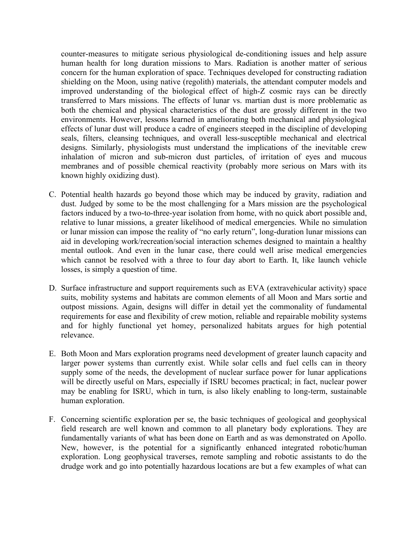counter-measures to mitigate serious physiological de-conditioning issues and help assure human health for long duration missions to Mars. Radiation is another matter of serious concern for the human exploration of space. Techniques developed for constructing radiation shielding on the Moon, using native (regolith) materials, the attendant computer models and improved understanding of the biological effect of high-Z cosmic rays can be directly transferred to Mars missions. The effects of lunar vs. martian dust is more problematic as both the chemical and physical characteristics of the dust are grossly different in the two environments. However, lessons learned in ameliorating both mechanical and physiological effects of lunar dust will produce a cadre of engineers steeped in the discipline of developing seals, filters, cleansing techniques, and overall less-susceptible mechanical and electrical designs. Similarly, physiologists must understand the implications of the inevitable crew inhalation of micron and sub-micron dust particles, of irritation of eyes and mucous membranes and of possible chemical reactivity (probably more serious on Mars with its known highly oxidizing dust).

- C. Potential health hazards go beyond those which may be induced by gravity, radiation and dust. Judged by some to be the most challenging for a Mars mission are the psychological factors induced by a two-to-three-year isolation from home, with no quick abort possible and, relative to lunar missions, a greater likelihood of medical emergencies. While no simulation or lunar mission can impose the reality of "no early return", long-duration lunar missions can aid in developing work/recreation/social interaction schemes designed to maintain a healthy mental outlook. And even in the lunar case, there could well arise medical emergencies which cannot be resolved with a three to four day abort to Earth. It, like launch vehicle losses, is simply a question of time.
- D. Surface infrastructure and support requirements such as EVA (extravehicular activity) space suits, mobility systems and habitats are common elements of all Moon and Mars sortie and outpost missions. Again, designs will differ in detail yet the commonality of fundamental requirements for ease and flexibility of crew motion, reliable and repairable mobility systems and for highly functional yet homey, personalized habitats argues for high potential relevance.
- E. Both Moon and Mars exploration programs need development of greater launch capacity and larger power systems than currently exist. While solar cells and fuel cells can in theory supply some of the needs, the development of nuclear surface power for lunar applications will be directly useful on Mars, especially if ISRU becomes practical; in fact, nuclear power may be enabling for ISRU, which in turn, is also likely enabling to long-term, sustainable human exploration.
- F. Concerning scientific exploration per se, the basic techniques of geological and geophysical field research are well known and common to all planetary body explorations. They are fundamentally variants of what has been done on Earth and as was demonstrated on Apollo. New, however, is the potential for a significantly enhanced integrated robotic/human exploration. Long geophysical traverses, remote sampling and robotic assistants to do the drudge work and go into potentially hazardous locations are but a few examples of what can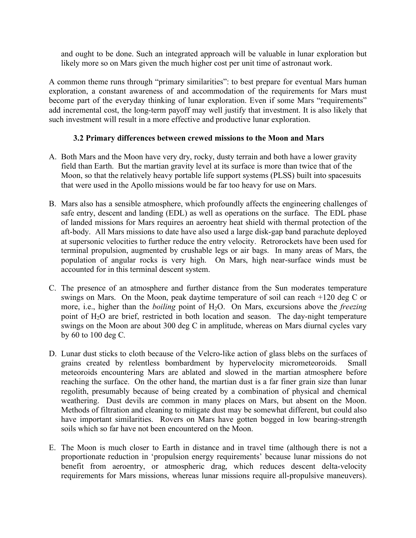and ought to be done. Such an integrated approach will be valuable in lunar exploration but likely more so on Mars given the much higher cost per unit time of astronaut work.

A common theme runs through "primary similarities": to best prepare for eventual Mars human exploration, a constant awareness of and accommodation of the requirements for Mars must become part of the everyday thinking of lunar exploration. Even if some Mars "requirements" add incremental cost, the long-term payoff may well justify that investment. It is also likely that such investment will result in a more effective and productive lunar exploration.

#### **3.2 Primary differences between crewed missions to the Moon and Mars**

- A. Both Mars and the Moon have very dry, rocky, dusty terrain and both have a lower gravity field than Earth. But the martian gravity level at its surface is more than twice that of the Moon, so that the relatively heavy portable life support systems (PLSS) built into spacesuits that were used in the Apollo missions would be far too heavy for use on Mars.
- B. Mars also has a sensible atmosphere, which profoundly affects the engineering challenges of safe entry, descent and landing (EDL) as well as operations on the surface. The EDL phase of landed missions for Mars requires an aeroentry heat shield with thermal protection of the aft-body. All Mars missions to date have also used a large disk-gap band parachute deployed at supersonic velocities to further reduce the entry velocity. Retrorockets have been used for terminal propulsion, augmented by crushable legs or air bags. In many areas of Mars, the population of angular rocks is very high. On Mars, high near-surface winds must be accounted for in this terminal descent system.
- C. The presence of an atmosphere and further distance from the Sun moderates temperature swings on Mars. On the Moon, peak daytime temperature of soil can reach +120 deg C or more, i.e., higher than the *boiling* point of H<sub>2</sub>O. On Mars, excursions above the *freezing* point of H<sub>2</sub>O are brief, restricted in both location and season. The day-night temperature swings on the Moon are about 300 deg C in amplitude, whereas on Mars diurnal cycles vary by 60 to 100 deg C.
- D. Lunar dust sticks to cloth because of the Velcro-like action of glass blebs on the surfaces of grains created by relentless bombardment by hypervelocity micrometeoroids. Small meteoroids encountering Mars are ablated and slowed in the martian atmosphere before reaching the surface. On the other hand, the martian dust is a far finer grain size than lunar regolith, presumably because of being created by a combination of physical and chemical weathering. Dust devils are common in many places on Mars, but absent on the Moon. Methods of filtration and cleaning to mitigate dust may be somewhat different, but could also have important similarities. Rovers on Mars have gotten bogged in low bearing-strength soils which so far have not been encountered on the Moon.
- E. The Moon is much closer to Earth in distance and in travel time (although there is not a proportionate reduction in 'propulsion energy requirements' because lunar missions do not benefit from aeroentry, or atmospheric drag, which reduces descent delta-velocity requirements for Mars missions, whereas lunar missions require all-propulsive maneuvers).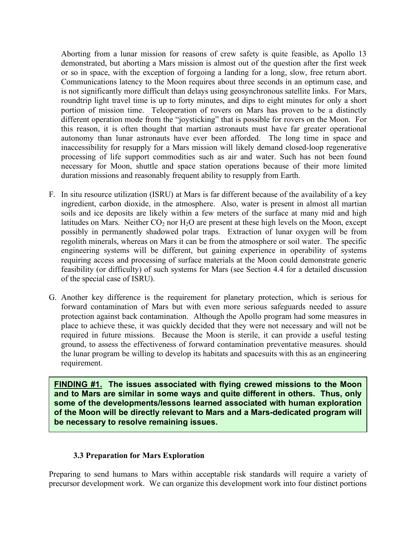Aborting from a lunar mission for reasons of crew safety is quite feasible, as Apollo 13 demonstrated, but aborting a Mars mission is almost out of the question after the first week or so in space, with the exception of forgoing a landing for a long, slow, free return abort. Communications latency to the Moon requires about three seconds in an optimum case, and is not significantly more difficult than delays using geosynchronous satellite links. For Mars, roundtrip light travel time is up to forty minutes, and dips to eight minutes for only a short portion of mission time. Teleoperation of rovers on Mars has proven to be a distinctly different operation mode from the "joysticking" that is possible for rovers on the Moon. For this reason, it is often thought that martian astronauts must have far greater operational autonomy than lunar astronauts have ever been afforded. The long time in space and inaccessibility for resupply for a Mars mission will likely demand closed-loop regenerative processing of life support commodities such as air and water. Such has not been found necessary for Moon, shuttle and space station operations because of their more limited duration missions and reasonably frequent ability to resupply from Earth.

- F. In situ resource utilization (ISRU) at Mars is far different because of the availability of a key ingredient, carbon dioxide, in the atmosphere. Also, water is present in almost all martian soils and ice deposits are likely within a few meters of the surface at many mid and high latitudes on Mars. Neither  $CO<sub>2</sub>$  nor  $H<sub>2</sub>O$  are present at these high levels on the Moon, except possibly in permanently shadowed polar traps. Extraction of lunar oxygen will be from regolith minerals, whereas on Mars it can be from the atmosphere or soil water. The specific engineering systems will be different, but gaining experience in operability of systems requiring access and processing of surface materials at the Moon could demonstrate generic feasibility (or difficulty) of such systems for Mars (see Section 4.4 for a detailed discussion of the special case of ISRU).
- G. Another key difference is the requirement for planetary protection, which is serious for forward contamination of Mars but with even more serious safeguards needed to assure protection against back contamination. Although the Apollo program had some measures in place to achieve these, it was quickly decided that they were not necessary and will not be required in future missions. Because the Moon is sterile, it can provide a useful testing ground, to assess the effectiveness of forward contamination preventative measures. should the lunar program be willing to develop its habitats and spacesuits with this as an engineering requirement.

**FINDING #1. The issues associated with flying crewed missions to the Moon and to Mars are similar in some ways and quite different in others. Thus, only some of the developments/lessons learned associated with human exploration of the Moon will be directly relevant to Mars and a Mars-dedicated program will be necessary to resolve remaining issues.**

#### **3.3 Preparation for Mars Exploration**

Preparing to send humans to Mars within acceptable risk standards will require a variety of precursor development work. We can organize this development work into four distinct portions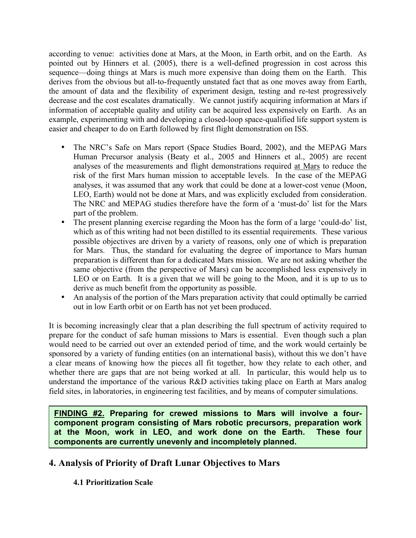according to venue: activities done at Mars, at the Moon, in Earth orbit, and on the Earth. As pointed out by Hinners et al. (2005), there is a well-defined progression in cost across this sequence—doing things at Mars is much more expensive than doing them on the Earth. This derives from the obvious but all-to-frequently unstated fact that as one moves away from Earth, the amount of data and the flexibility of experiment design, testing and re-test progressively decrease and the cost escalates dramatically. We cannot justify acquiring information at Mars if information of acceptable quality and utility can be acquired less expensively on Earth. As an example, experimenting with and developing a closed-loop space-qualified life support system is easier and cheaper to do on Earth followed by first flight demonstration on ISS.

- The NRC's Safe on Mars report (Space Studies Board, 2002), and the MEPAG Mars Human Precursor analysis (Beaty et al., 2005 and Hinners et al., 2005) are recent analyses of the measurements and flight demonstrations required at Mars to reduce the risk of the first Mars human mission to acceptable levels. In the case of the MEPAG analyses, it was assumed that any work that could be done at a lower-cost venue (Moon, LEO, Earth) would not be done at Mars, and was explicitly excluded from consideration. The NRC and MEPAG studies therefore have the form of a 'must-do' list for the Mars part of the problem.
- The present planning exercise regarding the Moon has the form of a large 'could-do' list, which as of this writing had not been distilled to its essential requirements. These various possible objectives are driven by a variety of reasons, only one of which is preparation for Mars. Thus, the standard for evaluating the degree of importance to Mars human preparation is different than for a dedicated Mars mission. We are not asking whether the same objective (from the perspective of Mars) can be accomplished less expensively in LEO or on Earth. It is a given that we will be going to the Moon, and it is up to us to derive as much benefit from the opportunity as possible.
- An analysis of the portion of the Mars preparation activity that could optimally be carried out in low Earth orbit or on Earth has not yet been produced.

It is becoming increasingly clear that a plan describing the full spectrum of activity required to prepare for the conduct of safe human missions to Mars is essential. Even though such a plan would need to be carried out over an extended period of time, and the work would certainly be sponsored by a variety of funding entities (on an international basis), without this we don't have a clear means of knowing how the pieces all fit together, how they relate to each other, and whether there are gaps that are not being worked at all. In particular, this would help us to understand the importance of the various R&D activities taking place on Earth at Mars analog field sites, in laboratories, in engineering test facilities, and by means of computer simulations.

**FINDING #2. Preparing for crewed missions to Mars will involve a fourcomponent program consisting of Mars robotic precursors, preparation work at the Moon, work in LEO, and work done on the Earth. These four components are currently unevenly and incompletely planned.**

# **4. Analysis of Priority of Draft Lunar Objectives to Mars**

# **4.1 Prioritization Scale**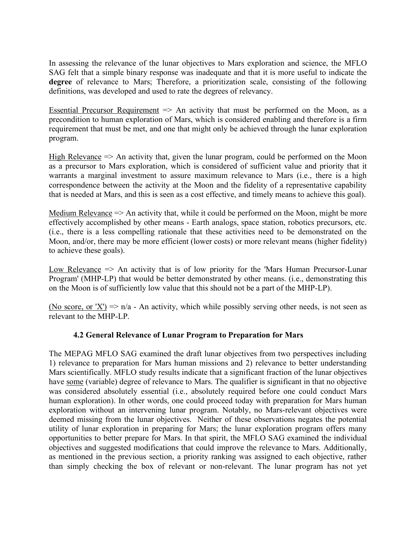In assessing the relevance of the lunar objectives to Mars exploration and science, the MFLO SAG felt that a simple binary response was inadequate and that it is more useful to indicate the **degree** of relevance to Mars; Therefore, a prioritization scale, consisting of the following definitions, was developed and used to rate the degrees of relevancy.

Essential Precursor Requirement  $\Rightarrow$  An activity that must be performed on the Moon, as a precondition to human exploration of Mars, which is considered enabling and therefore is a firm requirement that must be met, and one that might only be achieved through the lunar exploration program.

High Relevance  $\Rightarrow$  An activity that, given the lunar program, could be performed on the Moon as a precursor to Mars exploration, which is considered of sufficient value and priority that it warrants a marginal investment to assure maximum relevance to Mars (i.e., there is a high correspondence between the activity at the Moon and the fidelity of a representative capability that is needed at Mars, and this is seen as a cost effective, and timely means to achieve this goal).

Medium Relevance  $\Rightarrow$  An activity that, while it could be performed on the Moon, might be more effectively accomplished by other means - Earth analogs, space station, robotics precursors, etc. (i.e., there is a less compelling rationale that these activities need to be demonstrated on the Moon, and/or, there may be more efficient (lower costs) or more relevant means (higher fidelity) to achieve these goals).

Low Relevance  $\Rightarrow$  An activity that is of low priority for the 'Mars Human Precursor-Lunar Program' (MHP-LP) that would be better demonstrated by other means. (i.e., demonstrating this on the Moon is of sufficiently low value that this should not be a part of the MHP-LP).

(No score, or 'X')  $\Rightarrow$  n/a - An activity, which while possibly serving other needs, is not seen as relevant to the MHP-LP.

# **4.2 General Relevance of Lunar Program to Preparation for Mars**

The MEPAG MFLO SAG examined the draft lunar objectives from two perspectives including 1) relevance to preparation for Mars human missions and 2) relevance to better understanding Mars scientifically. MFLO study results indicate that a significant fraction of the lunar objectives have some (variable) degree of relevance to Mars. The qualifier is significant in that no objective was considered absolutely essential (i.e., absolutely required before one could conduct Mars human exploration). In other words, one could proceed today with preparation for Mars human exploration without an intervening lunar program. Notably, no Mars-relevant objectives were deemed missing from the lunar objectives. Neither of these observations negates the potential utility of lunar exploration in preparing for Mars; the lunar exploration program offers many opportunities to better prepare for Mars. In that spirit, the MFLO SAG examined the individual objectives and suggested modifications that could improve the relevance to Mars. Additionally, as mentioned in the previous section, a priority ranking was assigned to each objective, rather than simply checking the box of relevant or non-relevant. The lunar program has not yet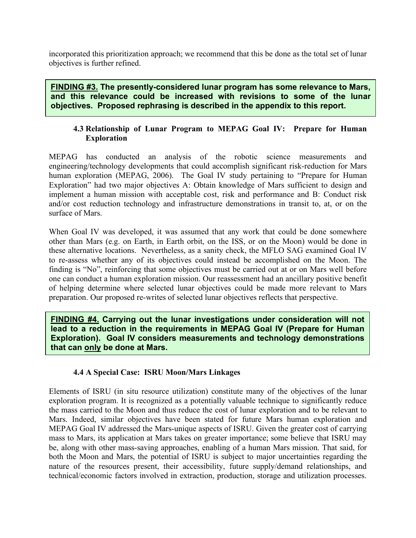incorporated this prioritization approach; we recommend that this be done as the total set of lunar objectives is further refined.

**FINDING #3. The presently-considered lunar program has some relevance to Mars, and this relevance could be increased with revisions to some of the lunar objectives. Proposed rephrasing is described in the appendix to this report.**

# **4.3 Relationship of Lunar Program to MEPAG Goal IV: Prepare for Human Exploration**

MEPAG has conducted an analysis of the robotic science measurements and engineering/technology developments that could accomplish significant risk-reduction for Mars human exploration (MEPAG, 2006). The Goal IV study pertaining to "Prepare for Human Exploration" had two major objectives A: Obtain knowledge of Mars sufficient to design and implement a human mission with acceptable cost, risk and performance and B: Conduct risk and/or cost reduction technology and infrastructure demonstrations in transit to, at, or on the surface of Mars.

When Goal IV was developed, it was assumed that any work that could be done somewhere other than Mars (e.g. on Earth, in Earth orbit, on the ISS, or on the Moon) would be done in these alternative locations. Nevertheless, as a sanity check, the MFLO SAG examined Goal IV to re-assess whether any of its objectives could instead be accomplished on the Moon. The finding is "No", reinforcing that some objectives must be carried out at or on Mars well before one can conduct a human exploration mission. Our reassessment had an ancillary positive benefit of helping determine where selected lunar objectives could be made more relevant to Mars preparation. Our proposed re-writes of selected lunar objectives reflects that perspective.

**FINDING #4. Carrying out the lunar investigations under consideration will not lead to a reduction in the requirements in MEPAG Goal IV (Prepare for Human Exploration). Goal IV considers measurements and technology demonstrations that can only be done at Mars.**

# **4.4 A Special Case: ISRU Moon/Mars Linkages**

Elements of ISRU (in situ resource utilization) constitute many of the objectives of the lunar exploration program. It is recognized as a potentially valuable technique to significantly reduce the mass carried to the Moon and thus reduce the cost of lunar exploration and to be relevant to Mars. Indeed, similar objectives have been stated for future Mars human exploration and MEPAG Goal IV addressed the Mars-unique aspects of ISRU. Given the greater cost of carrying mass to Mars, its application at Mars takes on greater importance; some believe that ISRU may be, along with other mass-saving approaches, enabling of a human Mars mission. That said, for both the Moon and Mars, the potential of ISRU is subject to major uncertainties regarding the nature of the resources present, their accessibility, future supply/demand relationships, and technical/economic factors involved in extraction, production, storage and utilization processes.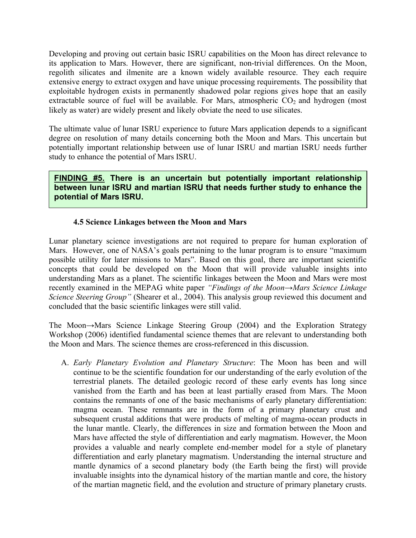Developing and proving out certain basic ISRU capabilities on the Moon has direct relevance to its application to Mars. However, there are significant, non-trivial differences. On the Moon, regolith silicates and ilmenite are a known widely available resource. They each require extensive energy to extract oxygen and have unique processing requirements. The possibility that exploitable hydrogen exists in permanently shadowed polar regions gives hope that an easily extractable source of fuel will be available. For Mars, atmospheric  $CO<sub>2</sub>$  and hydrogen (most likely as water) are widely present and likely obviate the need to use silicates.

The ultimate value of lunar ISRU experience to future Mars application depends to a significant degree on resolution of many details concerning both the Moon and Mars. This uncertain but potentially important relationship between use of lunar ISRU and martian ISRU needs further study to enhance the potential of Mars ISRU.

**FINDING #5. There is an uncertain but potentially important relationship between lunar ISRU and martian ISRU that needs further study to enhance the potential of Mars ISRU.**

# **4.5 Science Linkages between the Moon and Mars**

Lunar planetary science investigations are not required to prepare for human exploration of Mars. However, one of NASA's goals pertaining to the lunar program is to ensure "maximum possible utility for later missions to Mars". Based on this goal, there are important scientific concepts that could be developed on the Moon that will provide valuable insights into understanding Mars as a planet. The scientific linkages between the Moon and Mars were most recently examined in the MEPAG white paper *"Findings of the Moon→Mars Science Linkage Science Steering Group"* (Shearer et al., 2004). This analysis group reviewed this document and concluded that the basic scientific linkages were still valid.

The Moon*→*Mars Science Linkage Steering Group (2004) and the Exploration Strategy Workshop (2006) identified fundamental science themes that are relevant to understanding both the Moon and Mars. The science themes are cross-referenced in this discussion.

A. *Early Planetary Evolution and Planetary Structure*: The Moon has been and will continue to be the scientific foundation for our understanding of the early evolution of the terrestrial planets. The detailed geologic record of these early events has long since vanished from the Earth and has been at least partially erased from Mars. The Moon contains the remnants of one of the basic mechanisms of early planetary differentiation: magma ocean. These remnants are in the form of a primary planetary crust and subsequent crustal additions that were products of melting of magma-ocean products in the lunar mantle. Clearly, the differences in size and formation between the Moon and Mars have affected the style of differentiation and early magmatism. However, the Moon provides a valuable and nearly complete end-member model for a style of planetary differentiation and early planetary magmatism. Understanding the internal structure and mantle dynamics of a second planetary body (the Earth being the first) will provide invaluable insights into the dynamical history of the martian mantle and core, the history of the martian magnetic field, and the evolution and structure of primary planetary crusts.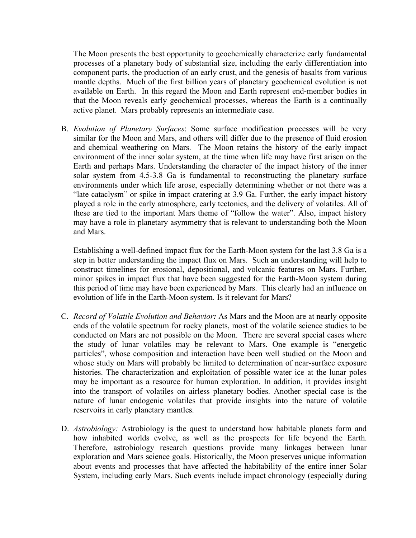The Moon presents the best opportunity to geochemically characterize early fundamental processes of a planetary body of substantial size, including the early differentiation into component parts, the production of an early crust, and the genesis of basalts from various mantle depths. Much of the first billion years of planetary geochemical evolution is not available on Earth. In this regard the Moon and Earth represent end-member bodies in that the Moon reveals early geochemical processes, whereas the Earth is a continually active planet. Mars probably represents an intermediate case.

B. *Evolution of Planetary Surfaces*: Some surface modification processes will be very similar for the Moon and Mars, and others will differ due to the presence of fluid erosion and chemical weathering on Mars. The Moon retains the history of the early impact environment of the inner solar system, at the time when life may have first arisen on the Earth and perhaps Mars. Understanding the character of the impact history of the inner solar system from 4.5-3.8 Ga is fundamental to reconstructing the planetary surface environments under which life arose, especially determining whether or not there was a "late cataclysm" or spike in impact cratering at 3.9 Ga. Further, the early impact history played a role in the early atmosphere, early tectonics, and the delivery of volatiles. All of these are tied to the important Mars theme of "follow the water". Also, impact history may have a role in planetary asymmetry that is relevant to understanding both the Moon and Mars.

Establishing a well-defined impact flux for the Earth-Moon system for the last 3.8 Ga is a step in better understanding the impact flux on Mars. Such an understanding will help to construct timelines for erosional, depositional, and volcanic features on Mars. Further, minor spikes in impact flux that have been suggested for the Earth-Moon system during this period of time may have been experienced by Mars. This clearly had an influence on evolution of life in the Earth-Moon system. Is it relevant for Mars?

- C. *Record of Volatile Evolution and Behavior:* As Mars and the Moon are at nearly opposite ends of the volatile spectrum for rocky planets, most of the volatile science studies to be conducted on Mars are not possible on the Moon. There are several special cases where the study of lunar volatiles may be relevant to Mars. One example is "energetic particles", whose composition and interaction have been well studied on the Moon and whose study on Mars will probably be limited to determination of near-surface exposure histories. The characterization and exploitation of possible water ice at the lunar poles may be important as a resource for human exploration. In addition, it provides insight into the transport of volatiles on airless planetary bodies. Another special case is the nature of lunar endogenic volatiles that provide insights into the nature of volatile reservoirs in early planetary mantles.
- D. *Astrobiology:* Astrobiology is the quest to understand how habitable planets form and how inhabited worlds evolve, as well as the prospects for life beyond the Earth. Therefore, astrobiology research questions provide many linkages between lunar exploration and Mars science goals. Historically, the Moon preserves unique information about events and processes that have affected the habitability of the entire inner Solar System, including early Mars. Such events include impact chronology (especially during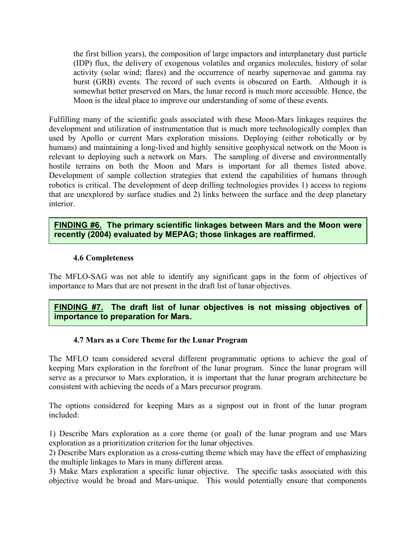the first billion years), the composition of large impactors and interplanetary dust particle (IDP) flux, the delivery of exogenous volatiles and organics molecules, history of solar activity (solar wind; flares) and the occurrence of nearby supernovae and gamma ray burst (GRB) events. The record of such events is obscured on Earth. Although it is somewhat better preserved on Mars, the lunar record is much more accessible. Hence, the Moon is the ideal place to improve our understanding of some of these events.

Fulfilling many of the scientific goals associated with these Moon-Mars linkages requires the development and utilization of instrumentation that is much more technologically complex than used by Apollo or current Mars exploration missions. Deploying (either robotically or by humans) and maintaining a long-lived and highly sensitive geophysical network on the Moon is relevant to deploying such a network on Mars. The sampling of diverse and environmentally hostile terrains on both the Moon and Mars is important for all themes listed above. Development of sample collection strategies that extend the capabilities of humans through robotics is critical. The development of deep drilling technologies provides 1) access to regions that are unexplored by surface studies and 2) links between the surface and the deep planetary interior.

# **FINDING #6. The primary scientific linkages between Mars and the Moon were recently (2004) evaluated by MEPAG; those linkages are reaffirmed.**

#### **4.6 Completeness**

The MFLO-SAG was not able to identify any significant gaps in the form of objectives of importance to Mars that are not present in the draft list of lunar objectives.

# **FINDING #7. The draft list of lunar objectives is not missing objectives of importance to preparation for Mars.**

#### **4.7 Mars as a Core Theme for the Lunar Program**

The MFLO team considered several different programmatic options to achieve the goal of keeping Mars exploration in the forefront of the lunar program. Since the lunar program will serve as a precursor to Mars exploration, it is important that the lunar program architecture be consistent with achieving the needs of a Mars precursor program.

The options considered for keeping Mars as a signpost out in front of the lunar program included:

1) Describe Mars exploration as a core theme (or goal) of the lunar program and use Mars exploration as a prioritization criterion for the lunar objectives.

2) Describe Mars exploration as a cross-cutting theme which may have the effect of emphasizing the multiple linkages to Mars in many different areas.

3) Make Mars exploration a specific lunar objective. The specific tasks associated with this objective would be broad and Mars-unique. This would potentially ensure that components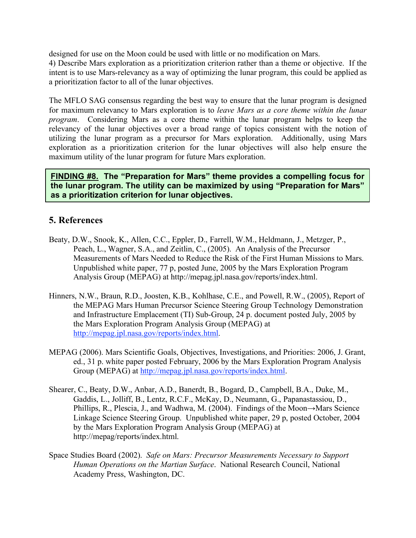designed for use on the Moon could be used with little or no modification on Mars. 4) Describe Mars exploration as a prioritization criterion rather than a theme or objective. If the intent is to use Mars-relevancy as a way of optimizing the lunar program, this could be applied as a prioritization factor to all of the lunar objectives.

The MFLO SAG consensus regarding the best way to ensure that the lunar program is designed for maximum relevancy to Mars exploration is to *leave Mars as a core theme within the lunar program*. Considering Mars as a core theme within the lunar program helps to keep the relevancy of the lunar objectives over a broad range of topics consistent with the notion of utilizing the lunar program as a precursor for Mars exploration. Additionally, using Mars exploration as a prioritization criterion for the lunar objectives will also help ensure the maximum utility of the lunar program for future Mars exploration.

**FINDING #8. The "Preparation for Mars" theme provides a compelling focus for the lunar program. The utility can be maximized by using "Preparation for Mars" as a prioritization criterion for lunar objectives.**

# **5. References**

- Beaty, D.W., Snook, K., Allen, C.C., Eppler, D., Farrell, W.M., Heldmann, J., Metzger, P., Peach, L., Wagner, S.A., and Zeitlin, C., (2005). An Analysis of the Precursor Measurements of Mars Needed to Reduce the Risk of the First Human Missions to Mars. Unpublished white paper, 77 p, posted June, 2005 by the Mars Exploration Program Analysis Group (MEPAG) at http://mepag.jpl.nasa.gov/reports/index.html.
- Hinners, N.W., Braun, R.D., Joosten, K.B., Kohlhase, C.E., and Powell, R.W., (2005), Report of the MEPAG Mars Human Precursor Science Steering Group Technology Demonstration and Infrastructure Emplacement (TI) Sub-Group, 24 p. document posted July, 2005 by the Mars Exploration Program Analysis Group (MEPAG) at http://mepag.jpl.nasa.gov/reports/index.html.
- MEPAG (2006). Mars Scientific Goals, Objectives, Investigations, and Priorities: 2006, J. Grant, ed., 31 p. white paper posted February, 2006 by the Mars Exploration Program Analysis Group (MEPAG) at http://mepag.jpl.nasa.gov/reports/index.html.
- Shearer, C., Beaty, D.W., Anbar, A.D., Banerdt, B., Bogard, D., Campbell, B.A., Duke, M., Gaddis, L., Jolliff, B., Lentz, R.C.F., McKay, D., Neumann, G., Papanastassiou, D., Phillips, R., Plescia, J., and Wadhwa, M. (2004). Findings of the Moon→Mars Science Linkage Science Steering Group. Unpublished white paper, 29 p, posted October, 2004 by the Mars Exploration Program Analysis Group (MEPAG) at http://mepag/reports/index.html.
- Space Studies Board (2002). *Safe on Mars: Precursor Measurements Necessary to Support Human Operations on the Martian Surface*. National Research Council, National Academy Press, Washington, DC.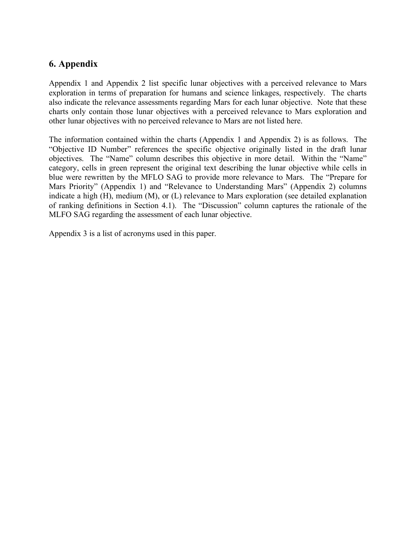# **6. Appendix**

Appendix 1 and Appendix 2 list specific lunar objectives with a perceived relevance to Mars exploration in terms of preparation for humans and science linkages, respectively. The charts also indicate the relevance assessments regarding Mars for each lunar objective. Note that these charts only contain those lunar objectives with a perceived relevance to Mars exploration and other lunar objectives with no perceived relevance to Mars are not listed here.

The information contained within the charts (Appendix 1 and Appendix 2) is as follows. The "Objective ID Number" references the specific objective originally listed in the draft lunar objectives. The "Name" column describes this objective in more detail. Within the "Name" category, cells in green represent the original text describing the lunar objective while cells in blue were rewritten by the MFLO SAG to provide more relevance to Mars. The "Prepare for Mars Priority" (Appendix 1) and "Relevance to Understanding Mars" (Appendix 2) columns indicate a high (H), medium (M), or (L) relevance to Mars exploration (see detailed explanation of ranking definitions in Section 4.1). The "Discussion" column captures the rationale of the MLFO SAG regarding the assessment of each lunar objective.

Appendix 3 is a list of acronyms used in this paper.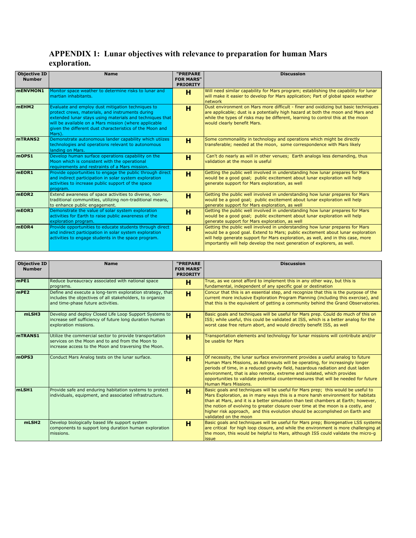# **APPENDIX 1: Lunar objectives with relevance to preparation for human Mars exploration.**

| <b>Objective ID</b><br><b>Number</b> | <b>Name</b>                                                                                                                                                                                                                                                                                      | "PREPARE<br><b>FOR MARS"</b><br><b>PRIORITY</b> | <b>Discussion</b>                                                                                                                                                                                                                                                                                                                |
|--------------------------------------|--------------------------------------------------------------------------------------------------------------------------------------------------------------------------------------------------------------------------------------------------------------------------------------------------|-------------------------------------------------|----------------------------------------------------------------------------------------------------------------------------------------------------------------------------------------------------------------------------------------------------------------------------------------------------------------------------------|
| <b>MENVMON1</b>                      | Monitor space weather to determine risks to lunar and<br>Imartian inhabitants.                                                                                                                                                                                                                   | н                                               | Will need similar capability for Mars program; establishing the capability for lunar<br>will make it easier to develop for Mars application; Part of global space weather<br><b>Inetwork</b>                                                                                                                                     |
| mEHM2                                | Evaluate and employ dust mitigation techniques to<br>protect crews, materials, and instruments during<br>extended lunar stays using materials and techniques that<br>will be available on a Mars mission (where applicable<br>given the different dust characteristics of the Moon and<br>Mars). | н                                               | Dust environment on Mars more difficult - finer and oxidizing but basic techniques<br>are applicable; dust is a potentially high hazard at both the moon and Mars and<br>while the types of risks may be different, learning to control this at the moon<br>would clearly benefit Mars.                                          |
| mTRANS2                              | Demonstrate autonomous lander capability which utiizes<br>technologies and operations relevant to autonomous<br>landing on Mars.                                                                                                                                                                 | н                                               | Some commonaility in technology and operations which might be directly<br>transferable; needed at the moon, some correspondence with Mars likely                                                                                                                                                                                 |
| mOPS1                                | Develop human surface operations capability on the<br>Moon which is consistent with the operational<br>requirements and restraints of a Mars mission.                                                                                                                                            | н                                               | Can't do nearly as will in other venues; Earth analogs less demanding, thus<br>validation at the moon is useful                                                                                                                                                                                                                  |
| mEOR1                                | Provide opportunities to engage the public through direct<br>and indirect participation in solar system exploration<br>activities to increase public support of the space<br>program.                                                                                                            | н                                               | Getting the public well involved in understanding how lunar prepares for Mars<br>would be a good goal; public excitement about lunar exploration will help<br>generate support for Mars exploration, as well                                                                                                                     |
| mEOR <sub>2</sub>                    | Extend awareness of space activities to diverse, non-<br>traditional communities, utilizing non-traditional means,<br>to enhance public engagement.                                                                                                                                              | н                                               | Getting the public well involved in understanding how lunar prepares for Mars<br>would be a good goal; public excitement about lunar exploration will help<br>generate support for Mars exploration, as well                                                                                                                     |
| mEOR3                                | Demonstrate the value of solar system exploration<br>activities for Earth to raise public awareness of the<br>exploration program.                                                                                                                                                               | н                                               | Getting the public well involved in understanding how lunar prepares for Mars<br>would be a good goal; public excitement about lunar exploration will help<br>generate support for Mars exploration, as well                                                                                                                     |
| mEOR4                                | Provide opportunities to educate students through direct<br>and indirect participation in solar system exploration<br>activities to engage students in the space program.                                                                                                                        | н                                               | Getting the public well involved in understanding how lunar prepares for Mars<br>would be a good goal. Extend to Mars; public excitement about lunar exploration<br>will help generate support for Mars exploration, as well, and in this case, more<br>importantly will help develop the next generation of explorers, as well. |

| <b>Objective ID</b><br><b>Number</b> | <b>Name</b>                                                                                                                                                         | "PREPARE<br><b>FOR MARS"</b><br><b>PRIORITY</b> | <b>Discussion</b>                                                                                                                                                                                                                                                                                                                                                                                                                                     |
|--------------------------------------|---------------------------------------------------------------------------------------------------------------------------------------------------------------------|-------------------------------------------------|-------------------------------------------------------------------------------------------------------------------------------------------------------------------------------------------------------------------------------------------------------------------------------------------------------------------------------------------------------------------------------------------------------------------------------------------------------|
| mPE1                                 | Reduce bureaucracy associated with national space<br>programs.                                                                                                      | н                                               | True, as we canot afford to implement this in any other way, but this is<br>fundamental, independent of any specific goal or destination                                                                                                                                                                                                                                                                                                              |
| mPE2                                 | Define and execute a long-term exploration strategy, that<br>includes the objectives of all stakeholders, to organize<br>and time-phase future activities.          | н                                               | Concur that this is an essential step, and recognize that this is the purpose of the<br>current more inclusive Exploration Program Planning (including this exercise), and<br>that this is the equivalent of getting a community behind the Grand Observatories.                                                                                                                                                                                      |
| mLSH3                                | Develop and deploy Closed Life Loop Support Systems to<br>increase self sufficiency of future long duration human<br>exploration missions.                          | н                                               | Basic goals and techniques will be useful for Mars prep. Could do much of this on<br>ISS; while useful, this could be validated at ISS, which is a better analog for the<br>worst case free return abort, and would directly benefit ISS, as well                                                                                                                                                                                                     |
| <b>mTRANS1</b>                       | Utilize the commercial sector to provide transportation<br>services on the Moon and to and from the Moon to<br>increase access to the Moon and traversing the Moon. | н                                               | Transportation elements and technology for lunar missions will contribute and/or<br>be usable for Mars                                                                                                                                                                                                                                                                                                                                                |
| mOPS3                                | Conduct Mars Analog tests on the lunar surface.                                                                                                                     | н                                               | Of necessity, the lunar surface environment provides a useful analog to future<br>Human Mars Missions, as Astronauts will be operating, for increasingly longer<br>periods of time, in a reduced gravity field, hazardous radiation and dust laden<br>environment, that is also remote, extreme and isolated, which provides<br>opportunities to validate potential countermeasures that will be needed for future<br>Human Mars Missions.            |
| mLSH1                                | Provide safe and enduring habitation systems to protect<br>individuals, equipment, and associated infrastructure.                                                   | н                                               | Basic goals and techniques will be useful for Mars prep; this would be useful to<br>Mars Exploration, as in many ways this is a more harsh environment for habitats<br>than at Mars, and it is a better simulation than test chambers at Earth; however,<br>the notion of evolving to greater closure over time at the moon is a costly, and<br>higher risk approach, and this evolution should be accomplished on Earth and<br>validated on the moon |
| mLSH <sub>2</sub>                    | Develop biologically based life support system<br>components to support long duration human exploration<br>missions.                                                | н                                               | Basic goals and techniques will be useful for Mars prep; Bioregenative LSS systems<br>are critical for high loop closure, and while the environment is more challenging at<br>the moon, this would be helpful to Mars, although ISS could validate the micro-q<br>lissue                                                                                                                                                                              |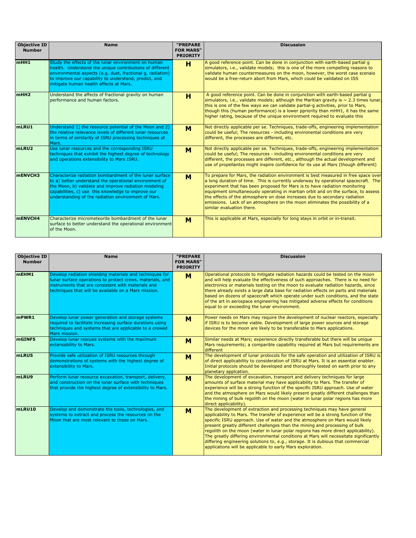| <b>Objective ID</b><br><b>Number</b> | <b>Name</b>                                                                                                                                                                                                                                                                            | "PREPARE<br><b>FOR MARS"</b><br><b>PRIORITY</b> | <b>Discussion</b>                                                                                                                                                                                                                                                                                                                                                                                                                                                                                                                      |
|--------------------------------------|----------------------------------------------------------------------------------------------------------------------------------------------------------------------------------------------------------------------------------------------------------------------------------------|-------------------------------------------------|----------------------------------------------------------------------------------------------------------------------------------------------------------------------------------------------------------------------------------------------------------------------------------------------------------------------------------------------------------------------------------------------------------------------------------------------------------------------------------------------------------------------------------------|
| mHH1                                 | Study the effects of the lunar environment on human<br>health. Understand the unique contributions of different<br>environmental aspects (e.g. dust, fractional q, radiation)<br>to improve our capability to understand, predict, and<br>mitigate human health effects at Mars.       | н                                               | A good reference point. Can be done in conjunction with earth-based partial g<br>simulators, i.e., validate models; this is one of the more compelling reasons to<br>validate human countermeasures on the moon, however, the worst case scenaio<br>would be a free-return abort from Mars, which could be validated on ISS                                                                                                                                                                                                            |
| mHH <sub>2</sub>                     | Understand the affects of fractional gravity on human<br>lperformance and human factors.                                                                                                                                                                                               | H                                               | A good reference point. Can be done in conjunction with earth-based partial g<br>simulators, i.e., validate models; although the Maritian gravity is $\sim$ 2.3 times lunar,<br>this is one of the few ways we can validate partial-q activities, prior to Mars,<br>though this (human performance) is a lower ppriority than mHH1, it has the same<br>higher rating, because of the unique environment required to evaluate this                                                                                                      |
| mLRU1                                | Understand 1) the resource potential of the Moon and 2)<br>the relative relevance levels of different lunar resources<br>in terms of similarity of ISRU processing techniques at<br>Mars.                                                                                              | M                                               | Not directly applicable per se. Techniques, trade-offs, engineering implementation<br>could be useful; The resources - including environental conditions are very<br>different, the processes are different, etc.                                                                                                                                                                                                                                                                                                                      |
| mLRU2                                | Use lunar resources and the corresponding ISRU<br>techniques that exhibit the highest degree of technology<br>and operations extensibility to Mars ISRU.                                                                                                                               | M                                               | Not directly applicable per se. Techniques, trade-offs, engineering implementation<br>could be useful; The resources - including environental conditions are very<br>different, the processes are different, etc., although the actual development and<br>use of propellantss might inspire confidence for its use at Mars (though different)                                                                                                                                                                                          |
| <b>mENVCH3</b>                       | Characterize radiation bombardment of the lunar surface<br>to a) better understand the operational environment of<br>the Moon, b) validate and improve radiation modeling<br>capabilities, c) use this knowledge to improve our<br>understanding of the radiation environment of Mars. | M                                               | To prepare for Mars, the radiation environment is best measured in free space over<br>a long duration of time. This is currently underway by operational spacecraft. The<br>experiment that has been proposed for Mars is to have radiation monitoring<br>equipment simultaneously operating in martian orbit and on the surface, to assess<br>the effects of the atmosphere on dose increases due to secondary radiation<br>emissions. Lack of an atmosphere on the moon eliminates the possibility of a<br>similar evaluation there. |
| mENVCH4                              | Characterize micrometeorite bombardment of the lunar<br>surface to better understand the operational environment<br>of the Moon.                                                                                                                                                       | M                                               | This is applicable at Mars, especially for long stays in orbit or in-transit.                                                                                                                                                                                                                                                                                                                                                                                                                                                          |

| <b>Objective ID</b><br><b>Number</b> | <b>Name</b>                                                                                                                                                                                                                          | "PREPARE<br><b>FOR MARS"</b> | <b>Discussion</b>                                                                                                                                                                                                                                                                                                                                                                                                                                                                                                                                                                                                                                              |
|--------------------------------------|--------------------------------------------------------------------------------------------------------------------------------------------------------------------------------------------------------------------------------------|------------------------------|----------------------------------------------------------------------------------------------------------------------------------------------------------------------------------------------------------------------------------------------------------------------------------------------------------------------------------------------------------------------------------------------------------------------------------------------------------------------------------------------------------------------------------------------------------------------------------------------------------------------------------------------------------------|
|                                      |                                                                                                                                                                                                                                      | <b>PRIORITY</b>              |                                                                                                                                                                                                                                                                                                                                                                                                                                                                                                                                                                                                                                                                |
| <b>MEHM1</b>                         | Develop radiation shielding materials and techniques for<br>lunar surface operations to protect crews, materials, and<br>linstruments that are consistent with materials and<br>techniques that will be available on a Mars mission. | M                            | Operational protocols to mitigate radiation hazards could be tested on the moon<br>and will help evaluate the effectiveness of such approaches. There is no need for<br>electronics or materials testing on the moon to evaluate radiation hazards, since<br>there already exists a large data base for radiation effects on parts and materials<br>based on dozens of spacecraft which operate under such conditions, and the state<br>of the art in aerospace engineering has mitigated adverse effects for conditions<br>equal to or exceeding the lunar environment.                                                                                       |
| mPWR1                                | Develop lunar power generation and storage systems<br>required to facilitate increasing surface durations using<br>techniques and systems that are applicable to a crewed<br>Mars mission.                                           | M                            | Power needs on Mars may require the development of nuclear reactors, especially<br>if ISRU is to become viable. Development of large power sources and storage<br>devices for the moon are likely to be transferable to Mars applications.                                                                                                                                                                                                                                                                                                                                                                                                                     |
| mGINF5                               | Develop lunar rescues systems with the maximum<br>extensability to Mars.                                                                                                                                                             | M                            | Similar needs at Mars; experience directly transferable but there will be unique<br>Mars requirements; a comparible capability required at Mars but requirements are<br>different                                                                                                                                                                                                                                                                                                                                                                                                                                                                              |
| mLRU5                                | Provide safe utilization of ISRU resources through<br>demonstrations of systems with the highest degree of<br>extensibility to Mars.                                                                                                 | M                            | The development of lunar protocols for the safe operation and utilization of ISRU is<br>of direct applicability to consideration of ISRU at Mars. It is an essential enabler.<br>Initial protocols should be developed and thoroughly tested on earth prior to any<br>planetary applcation.                                                                                                                                                                                                                                                                                                                                                                    |
| mLRU9                                | Perform lunar resource excavation, transport, delivery,<br>and construction on the lunar surface with techniques<br>that provide the highest degree of extensibility to Mars.                                                        | M                            | The development of excavation, transport and delivery techniques for large<br>amounts of surface material may have applicability to Mars. The transfer of<br>experience will be a strong function of the specific ISRU approach. Use of water<br>and the atmosphere on Mars would likely present greatly different challenges than<br>the mining of bulk regolith on the moon (water in lunar polar regions has more<br>direct applicability).                                                                                                                                                                                                                 |
| mLRU10                               | Develop and demonstrate the tools, technologies, and<br>systems to extract and process the resources on the<br>Moon that are most relevant to those on Mars.                                                                         | M                            | The development of extraction and processing techniques may have general<br>applicability to Mars. The transfer of experience will be a strong function of the<br>specific ISRU approach. Use of water and the atmosphere on Mars would likely<br>present greatly different challenges than the mining and processing of bulk<br>regolith on the moon (water in lunar polar regions has more direct applicability).<br>The greatly differing environmental conditions at Mars will necessitate significantly<br>differing engineering solutions to, e.g., storage. It is dubious that commercial<br>applications will be applicable to early Mars exploration. |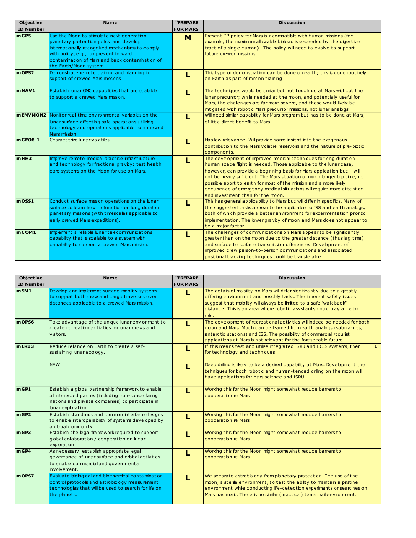| <b>Objective</b>   | <b>Name</b>                                                                                                                                                                                                                                                  | "PREPARE         | <b>Discussion</b>                                                                                                                                                                                                                                                                                                                                                                                                                                                              |
|--------------------|--------------------------------------------------------------------------------------------------------------------------------------------------------------------------------------------------------------------------------------------------------------|------------------|--------------------------------------------------------------------------------------------------------------------------------------------------------------------------------------------------------------------------------------------------------------------------------------------------------------------------------------------------------------------------------------------------------------------------------------------------------------------------------|
| <b>ID Number</b>   |                                                                                                                                                                                                                                                              | <b>FOR MARS"</b> |                                                                                                                                                                                                                                                                                                                                                                                                                                                                                |
| mgB                | Use the Moon to stimulate next generation<br>planetary protection policy and develop<br>intemationally recognized mechanisms to comply<br>with policy, e.g., to prevent forward<br>contamination of Mars and back contamination of<br>the Earth/Moon system. | M                | Present PP policy for Mars is incompatible with human missions (for<br>example, the maximum allowable bioload is exceeded by the digestive<br>tract of a single human). The policy will need to evolve to support<br>future crewed missions.                                                                                                                                                                                                                                   |
| m OPS <sub>2</sub> | Demonstrate remote training and planning in<br>support of crewed Mars missions.                                                                                                                                                                              | L                | This type of demonstration can be done on earth; this is done routinely<br>on Earth as part of mission training                                                                                                                                                                                                                                                                                                                                                                |
| $m$ NAV1           | Establish lunar GNC capabilities that are scalable<br>to support a crewed Mars mission.                                                                                                                                                                      | п                | The techniques would be similar but not tough do at Mars without the<br>lunar precursor; while needed at the moon, and potentially useful for<br>Mars, the challenges are far more severe, and these would likely be<br>mitigated with robotic Mars precursor missions, not lunar analogs                                                                                                                                                                                      |
|                    | mENVMON2 Monitor real-time environmental variables on the<br>lunar surface affecting safe operations utilizing<br>technology and operations applicable to a crewed<br>Mars mission.                                                                          | L                | Will need similar capability for Mars program but has to be done at Mars;<br>of little direct benefit to Mars                                                                                                                                                                                                                                                                                                                                                                  |
| $mgEO8-1$          | Characterize lunar volatiles.                                                                                                                                                                                                                                |                  | Has low relevance. Will provide some insight into the exogenous<br>contribution to the Mars volatile reservoirs and the nature of pre-biotic<br>components.                                                                                                                                                                                                                                                                                                                    |
| mHH3               | Improve remote medical practice infrastructure<br>and technology for fractional gravity; test health<br>care systems on the Moon for use on Mars.                                                                                                            |                  | The development of improved medical techniques for long duration<br>human space flight is needed. Those applicable to the lunar case,<br>however, can provide a beginning basis for Mars application but will<br>not be nearly sufficient. The Mars situation of much longer trip time, no<br>possible abort to earth for most of the mission and a more likely<br>occurrence of emergency medical situations will require more attention<br>and investment than for the moon. |
| $m$ OSS1           | Conduct surface mission operations on the lunar<br>surface to leam how to function on long duration<br>planetary missions (with timescales applicable to<br>early crewed Mars expeditions).                                                                  | п                | This has general applicability to Mars but will differ in specifics. Many of<br>the suggested tasks appear to be applicable to ISS and earth analogs,<br>both of which provide a better environment for experimentation prior to<br>implementation. The lower gravity of moon and Mars does not appear to<br>be a major factor.                                                                                                                                                |
| mcOM1              | Implement a reliable lunar telecommunications<br>capability that is scalable to a system with<br>capability to support a crewed Mars mission.                                                                                                                | L                | The challenges of communications on Mars appear to be significantly<br>greater than on the moon due to the greater distance (thus lag time)<br>and surface to surface transmission differences. Development of<br>improved crew person-to-person communications and associated<br>positional tracking techniques could be transferable.                                                                                                                                        |

| <b>Objective</b> | <b>Name</b>                                                                                                                                                                        | "PREPARE         | <b>Discussion</b>                                                                                                                                                                                                                                                                                          |
|------------------|------------------------------------------------------------------------------------------------------------------------------------------------------------------------------------|------------------|------------------------------------------------------------------------------------------------------------------------------------------------------------------------------------------------------------------------------------------------------------------------------------------------------------|
| <b>ID Number</b> |                                                                                                                                                                                    | <b>FOR MARS"</b> |                                                                                                                                                                                                                                                                                                            |
| mSM1             | Develop and implement surface mobility systems<br>to support both crew and cargo traverses over<br>distances applicable to a crewed Mars mission.                                  | L                | The details of mobility on Mars will differ significantly due to a greatly<br>differing environment and possibly tasks. The inherent safety issues<br>suggest that mobility will always be limited to a safe "walk back"<br>distance. This is an area where robotic assistants could play a major<br>role. |
| m OPS6           | Take advantage of the unique lunar envionment to<br>create recreation activities for lunar crews and<br>visitors.                                                                  |                  | The development of recreational activities will indeed be needed for both<br>moon and Mars. Much can be leamed from earth analogs (submarines,<br>antarctic stations) and ISS. The possibility of commercial/tourist<br>applications at Mars is not relevant for the foreseeable future.                   |
| mLRU3            | Reduce reliance on Earth to create a self-<br>sustaining lunar ecology.                                                                                                            |                  | If this means test and utilize integrated ISRU and ECLS systems, then<br>for technology and techniques                                                                                                                                                                                                     |
|                  | <b>NEW</b>                                                                                                                                                                         |                  | Deep drilling is likely to be a desired capability at Mars. Development the<br>tehniques for both robotic and human-tended drilling on the moon will<br>have applications for Mars science and ISRU.                                                                                                       |
| mgP1             | Establish a global partnership framework to enable<br>all interested parties (including non-space faring<br>nations and private companies) to participate in<br>lunar exploration. |                  | Working this for the Moon might somewhat reduce barriers to<br>cooperation re Mars                                                                                                                                                                                                                         |
| mGP2             | Establish standards and common interface designs<br>to enable interoperability of systems developed by<br>a global community.                                                      |                  | Working this for the Moon might somewhat reduce barriers to<br>cooperation re Mars                                                                                                                                                                                                                         |
| mgB              | Establish the legal framework required to support<br>global collaboration / cooperation on lunar<br>exploration.                                                                   |                  | Working this for the Moon might somewhat reduce barriers to<br>cooperation re Mars                                                                                                                                                                                                                         |
| mgP4             | As necessary, establish appropriate legal<br>lgovemance of lunar surface and orbital activities<br>to enable commercial and governmental<br>involvement.                           |                  | Working this for the Moon might somewhat reduce barriers to<br>cooperation re Mars                                                                                                                                                                                                                         |
| m OPS7           | Evaluate biological and biochemical contamination<br>control protocols and astrobiology measurement<br>technologies that will be used to search for life on<br>the planets.        | L                | We separate astrobiology from planetary protection. The use of the<br>moon, a sterile environment, to test the ability to maintain a pristine<br>environment while conducting life-detection experiments or searches on<br>Mars has merit. There is no similar (practical) terrestrail environment.        |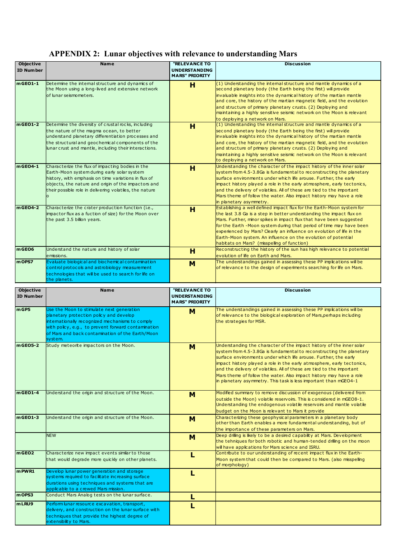# **APPENDIX 2: Lunar objectives with relevance to understanding Mars**

|                                      |                                                                                                                                                                                                                                                                                  |                                                                       | <b>Discussion</b>                                                                                                                                                                                                                                                                                                                                                                                                                                                                    |
|--------------------------------------|----------------------------------------------------------------------------------------------------------------------------------------------------------------------------------------------------------------------------------------------------------------------------------|-----------------------------------------------------------------------|--------------------------------------------------------------------------------------------------------------------------------------------------------------------------------------------------------------------------------------------------------------------------------------------------------------------------------------------------------------------------------------------------------------------------------------------------------------------------------------|
| <b>Objective</b><br><b>ID Number</b> | <b>Name</b>                                                                                                                                                                                                                                                                      | <b>"RELEVANCE TO</b><br><b>UNDERSTANDING</b><br><b>MARS" PRIORITY</b> |                                                                                                                                                                                                                                                                                                                                                                                                                                                                                      |
| mGEO1-1                              | Determine the internal structure and dynamics of<br>the Moon using a long-lived and extensive network<br>of lunar seismometers.                                                                                                                                                  | н                                                                     | $(1)$ Understanding the internal structure and mantle dynamics of a<br>second planetary body (the Earth being the first) will provide<br>invaluable insights into the dynamical history of the martian mantle<br>and core, the history of the martian magnetic field, and the evolution<br>and structure of primary planetary crusts. (2) Deploying and<br>maintaining a highly sensitive seismic network on the Moon is relevant<br>to deploying a network on Mars.                 |
| $mgEO1-2$                            | Determine the diversity of crustal rocks, including<br>the nature of the magma ocean, to better<br>understand planetary differentiation processes and<br>the structural and geochemical components of the<br>lunar crust and mantle, including their interactions.               | н                                                                     | (1) Understanding the internal structure and mantle dynamics of a<br>second planetary body (the Earth being the first) will provide<br>invaluable insights into the dynamical history of the martian mantle<br>and core, the history of the martian magnetic field, and the evolution<br>and structure of primary planetary crusts. (2) Deploying and<br>maintaining a highly sensitive seismic network on the Moon is relevant<br>to deploying a network on Mars.                   |
| $mgEO4-1$                            | Characterize the flux of impacting bodies in the<br>Earth-Moon system during early solar system<br>history, with emphasis on time variations in flux of<br>objects, the nature and origin of the impactors and<br>their possible role in delivering volatiles, the nature<br>lo. | H                                                                     | Understanding the character of the impact history of the inner solar<br>system from 4.5-3.8Ga is fundamental to reconstructing the planetary<br>surface environments under which life arouse. Further, the early<br>impact history played a role in the early atmosphere, early tectonics,<br>and the delivery of volatiles. All of these are tied to the important<br>Mars theme of follow the water. Also impact history may have a role<br>in planetary asymmetry.                |
| $m$ GEO4-2                           | Characterize the crater production function (i.e.,<br>impactor flux as a fuction of size) for the Moon over<br>the past 3.5 billion years.                                                                                                                                       | н                                                                     | Establishing a well defined impact flux for the Earth-Moon system for<br>the last 3.8 Ga is a step in better understanding the impact flux on<br>Mars. Further, minor spikes in impact flux that have been suggested<br>for the Earth -Moon system during that period of time may have been<br>experienced by Mars? Clearly an influence on evolution of life in the<br>Earth-Moon system. An influence on the evolution of potential<br>habitats on Mars? (misspelling of function) |
| mGEO6                                | Understand the nature and history of solar<br>lemissions.                                                                                                                                                                                                                        | н                                                                     | Reconstructing the history of the sun has high relevance to potential<br>evolution of life on Earth and Mars.                                                                                                                                                                                                                                                                                                                                                                        |
| mOPS7                                | Evaluate biological and biochemical contamination<br>control protocols and astrobiology measurement<br>technologies that will be used to search for life on<br>the planets.                                                                                                      | M                                                                     | The understandings gained in assessing these PP implications will be<br>of relevance to the design of experiments searching for life on Mars.                                                                                                                                                                                                                                                                                                                                        |

| <b>Objective</b>  | <b>Name</b>                                                                                                                                                                                                                                                  | <b>"RELEVANCE TO</b>                          | <b>Discussion</b>                                                                                                                                                                                                                                                                                                                                                                                                                                                                                              |
|-------------------|--------------------------------------------------------------------------------------------------------------------------------------------------------------------------------------------------------------------------------------------------------------|-----------------------------------------------|----------------------------------------------------------------------------------------------------------------------------------------------------------------------------------------------------------------------------------------------------------------------------------------------------------------------------------------------------------------------------------------------------------------------------------------------------------------------------------------------------------------|
| <b>ID Number</b>  |                                                                                                                                                                                                                                                              | <b>UNDERSTANDING</b><br><b>MARS" PRIORITY</b> |                                                                                                                                                                                                                                                                                                                                                                                                                                                                                                                |
| mGP5              | Use the Moon to stimulate next generation<br>planetary protection policy and develop<br>intemationally recognized mechanisms to comply<br>with policy, e.g., to prevent forward contamination<br>of Mars and back contamination of the Earth/Moon<br>system. | M                                             | The understandings gained in assessing these PP implications will be<br>of relevance to the biological exploration of Mars, perhaps including<br>the strategies for MSR.                                                                                                                                                                                                                                                                                                                                       |
| mGE05-2           | Study meteorite impactors on the Moon.                                                                                                                                                                                                                       | M                                             | Understanding the character of the impact history of the inner solar<br>system from 4.5-3.8Ga is fundamental to reconstructing the planetary<br>surface environments under which life arouse. Further, the early<br>impact history played a role in the early atmosphere, early tectonics,<br>and the delivery of volatiles. All of these are tied to the important<br>Mars theme of follow the water. Also impact history may have a role<br>in planetary asymmetry. This task is less important than mGEO4-1 |
| $mgEO1-4$         | Understand the origin and structure of the Moon.                                                                                                                                                                                                             | M                                             | Modified summary to remove discussion of exogenous (delivered from<br>$\vert$ outside the Moon) volatile reservoirs. This is considered in mGEO8-1.<br>Understanding the endogenous volatile reservoirs and mantle volatile<br>budget on the Moon is relevant to Mars it provide                                                                                                                                                                                                                               |
| $m$ GEO1-3        | Understand the origin and structure of the Moon.                                                                                                                                                                                                             | м                                             | Characterizing these geophysical parameters in a planetary body<br>other than Earth enables a more fundamental understanding, but of<br>the importance of these parameters on Mars.                                                                                                                                                                                                                                                                                                                            |
|                   | <b>NEW</b>                                                                                                                                                                                                                                                   | M                                             | Deep drilling is likely to be a desired capability at Mars. Development<br>the tehniques for both robotic and human-tended drilling on the moon<br>will have applications for Mars science and ISRU.                                                                                                                                                                                                                                                                                                           |
| mGEO <sub>2</sub> | Characterize new impact events similar to those<br>that would degrade more quickly on other planets.                                                                                                                                                         | L                                             | Contribute to our understanding of recent impact flux in the Earth-<br>Moon system that could then be compared to Mars. (also misspelling<br>of morphology)                                                                                                                                                                                                                                                                                                                                                    |
| $m$ PWR1          | Develop lunar power generation and storage<br>systems required to facilitate increasing surface<br>durations using techniques and systems that are<br>applicable to a crewed Mars mission.                                                                   | L                                             |                                                                                                                                                                                                                                                                                                                                                                                                                                                                                                                |
| mOPS3             | Conduct Mars Analog tests on the lunar surface.                                                                                                                                                                                                              | L                                             |                                                                                                                                                                                                                                                                                                                                                                                                                                                                                                                |
| mLRU9             | Perform lunar resource excavation, transport,<br>delivery, and construction on the lunar surface with<br>techniques that provide the highest degree of<br>extensibility to Mars.                                                                             |                                               |                                                                                                                                                                                                                                                                                                                                                                                                                                                                                                                |